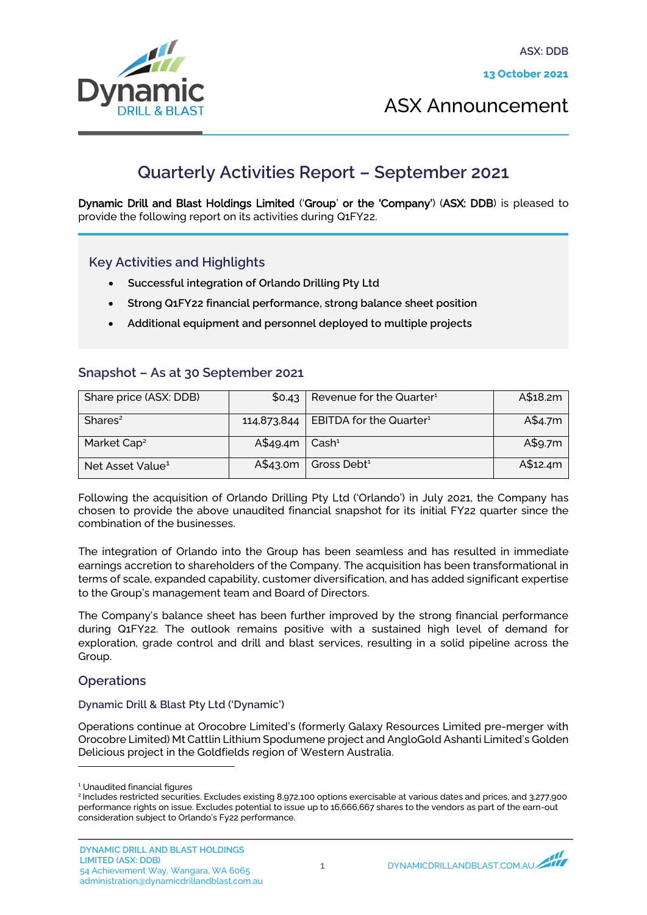

ASX Announcement

# **Quarterly Activities Report – September 2021**

Dynamic Drill and Blast Holdings Limited ('Group' or the 'Company') (ASX: DDB) is pleased to provide the following report on its activities during Q1FY22.

## Key Activities and Highlights

- Successful integration of Orlando Drilling Pty Ltd
- Strong Q1FY22 financial performance, strong balance sheet position
- Additional equipment and personnel deployed to multiple projects

## Snapshot – As at 30 September 2021

| Share price (ASX: DDB)       | \$0.43                      | $\vert$ Revenue for the Quarter <sup>1</sup>      | A\$18.2m |
|------------------------------|-----------------------------|---------------------------------------------------|----------|
| Shares <sup>2</sup>          |                             | 114,873,844   EBITDA for the Quarter <sup>1</sup> | A\$4.7m  |
| Market Cap <sup>2</sup>      | $A$49.4m$ Cash <sup>1</sup> |                                                   | A\$9.7m  |
| Net Asset Value <sup>1</sup> | A\$43.0m                    | Gross Debt <sup>1</sup>                           | A\$12.4m |

Following the acquisition of Orlando Drilling Pty Ltd ('Orlando') in July 2021, the Company has chosen to provide the above unaudited financial snapshot for its initial FY22 quarter since the combination of the businesses.

The integration of Orlando into the Group has been seamless and has resulted in immediate earnings accretion to shareholders of the Company. The acquisition has been transformational in terms of scale, expanded capability, customer diversification, and has added significant expertise to the Group's management team and Board of Directors.

The Company's balance sheet has been further improved by the strong financial performance during Q1FY22. The outlook remains positive with a sustained high level of demand for exploration, grade control and drill and blast services, resulting in a solid pipeline across the Group.

### **Operations**

#### Dynamic Drill & Blast Pty Ltd ('Dynamic')

Operations continue at Orocobre Limited's (formerly Galaxy Resources Limited pre-merger with Orocobre Limited) Mt Cattlin Lithium Spodumene project and AngloGold Ashanti Limited's Golden Delicious project in the Goldfields region of Western Australia.

<sup>1</sup> Unaudited financial figures

<sup>&</sup>lt;sup>2</sup> Includes restricted securities. Excludes existing 8,972,100 options exercisable at various dates and prices, and 3,277,900 performance rights on issue. Excludes potential to issue up to 16,666,667 shares to the vendors as part of the earn-out consideration subject to Orlando's Fy22 performance.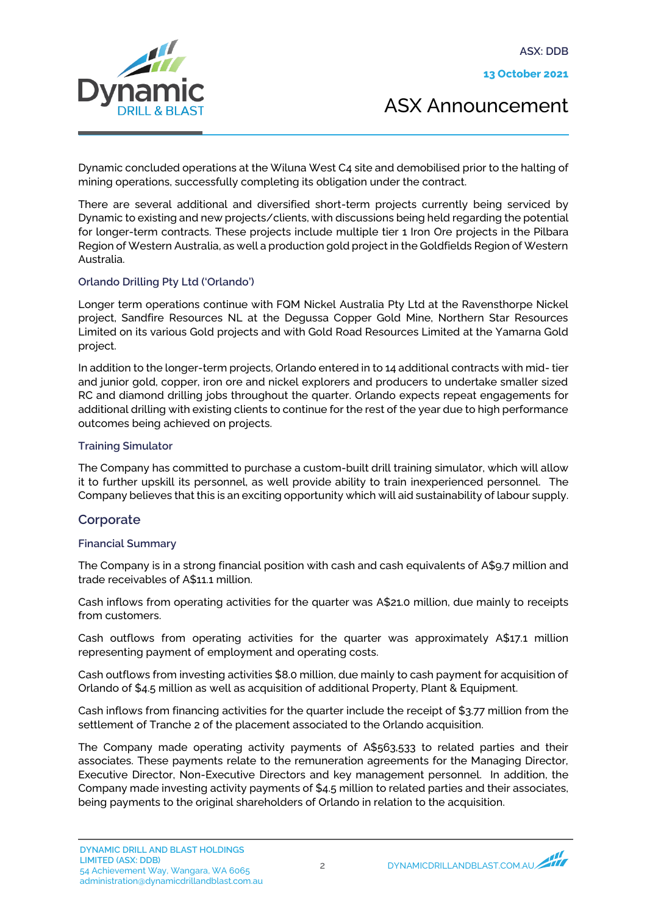13 October 2021



ASX Announcement

Dynamic concluded operations at the Wiluna West C4 site and demobilised prior to the halting of mining operations, successfully completing its obligation under the contract.

There are several additional and diversified short-term projects currently being serviced by Dynamic to existing and new projects/clients, with discussions being held regarding the potential for longer-term contracts. These projects include multiple tier 1 Iron Ore projects in the Pilbara Region of Western Australia, as well a production gold project in the Goldfields Region of Western Australia.

## Orlando Drilling Pty Ltd ('Orlando')

Longer term operations continue with FQM Nickel Australia Pty Ltd at the Ravensthorpe Nickel project, Sandfire Resources NL at the Degussa Copper Gold Mine, Northern Star Resources Limited on its various Gold projects and with Gold Road Resources Limited at the Yamarna Gold project.

In addition to the longer-term projects, Orlando entered in to 14 additional contracts with mid- tier and junior gold, copper, iron ore and nickel explorers and producers to undertake smaller sized RC and diamond drilling jobs throughout the quarter. Orlando expects repeat engagements for additional drilling with existing clients to continue for the rest of the year due to high performance outcomes being achieved on projects.

### Training Simulator

The Company has committed to purchase a custom-built drill training simulator, which will allow it to further upskill its personnel, as well provide ability to train inexperienced personnel. The Company believes that this is an exciting opportunity which will aid sustainability of labour supply.

## **Corporate**

### Financial Summary

The Company is in a strong financial position with cash and cash equivalents of A\$9.7 million and trade receivables of A\$11.1 million.

Cash inflows from operating activities for the quarter was A\$21.0 million, due mainly to receipts from customers.

Cash outflows from operating activities for the quarter was approximately A\$17.1 million representing payment of employment and operating costs.

Cash outflows from investing activities \$8.0 million, due mainly to cash payment for acquisition of Orlando of \$4.5 million as well as acquisition of additional Property, Plant & Equipment.

Cash inflows from financing activities for the quarter include the receipt of \$3.77 million from the settlement of Tranche 2 of the placement associated to the Orlando acquisition.

The Company made operating activity payments of A\$563,533 to related parties and their associates. These payments relate to the remuneration agreements for the Managing Director, Executive Director, Non-Executive Directors and key management personnel. In addition, the Company made investing activity payments of \$4.5 million to related parties and their associates, being payments to the original shareholders of Orlando in relation to the acquisition.

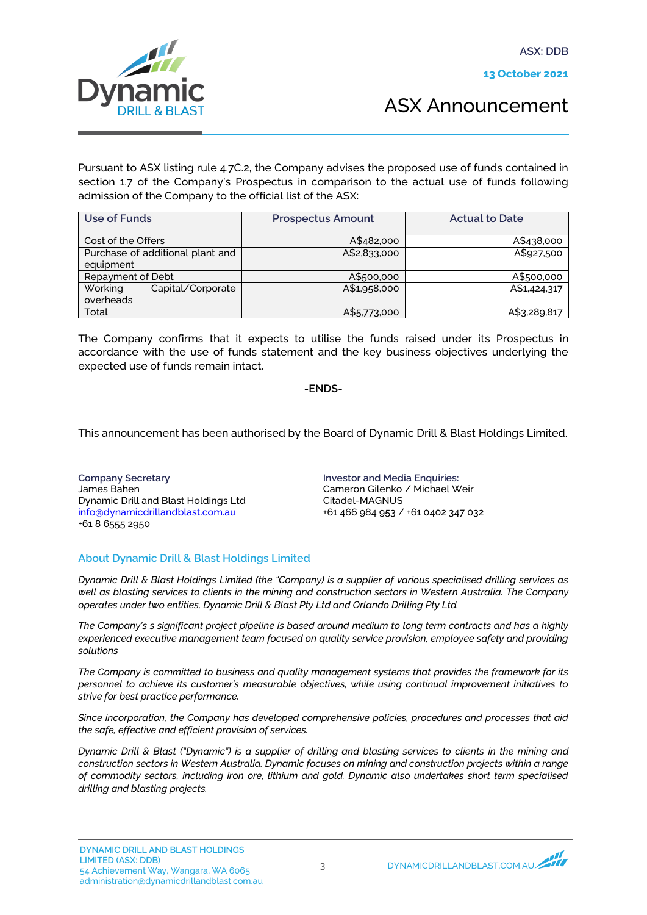ASX: DDB



ASX Announcement

Pursuant to ASX listing rule 4.7C.2, the Company advises the proposed use of funds contained in section 1.7 of the Company's Prospectus in comparison to the actual use of funds following admission of the Company to the official list of the ASX:

| Use of Funds                     | <b>Prospectus Amount</b> | <b>Actual to Date</b> |
|----------------------------------|--------------------------|-----------------------|
| Cost of the Offers               | A\$482,000               | A\$438,000            |
| Purchase of additional plant and | A\$2,833,000             | A\$927,500            |
| equipment                        |                          |                       |
| Repayment of Debt                | A\$500,000               | A\$500,000            |
| Working<br>Capital/Corporate     | A\$1,958,000             | A\$1,424,317          |
| overheads                        |                          |                       |
| Total                            | A\$5,773,000             | A\$3,289,817          |

The Company confirms that it expects to utilise the funds raised under its Prospectus in accordance with the use of funds statement and the key business objectives underlying the expected use of funds remain intact.

### -ENDS-

This announcement has been authorised by the Board of Dynamic Drill & Blast Holdings Limited.

Company Secretary James Bahen Dynamic Drill and Blast Holdings Ltd info@dynamicdrillandblast.com.au +61 8 6555 2950

Investor and Media Enquiries: Cameron Gilenko / Michael Weir Citadel-MAGNUS +61 466 984 953 / +61 0402 347 032

### About Dynamic Drill & Blast Holdings Limited

*Dynamic Drill & Blast Holdings Limited (the "Company) is a supplier of various specialised drilling services as well as blasting services to clients in the mining and construction sectors in Western Australia. The Company operates under two entities, Dynamic Drill & Blast Pty Ltd and Orlando Drilling Pty Ltd.* 

*The Company's s significant project pipeline is based around medium to long term contracts and has a highly experienced executive management team focused on quality service provision, employee safety and providing solutions* 

*The Company is committed to business and quality management systems that provides the framework for its personnel to achieve its customer's measurable objectives, while using continual improvement initiatives to strive for best practice performance.*

*Since incorporation, the Company has developed comprehensive policies, procedures and processes that aid the safe, effective and efficient provision of services.*

*Dynamic Drill & Blast ("Dynamic") is a supplier of drilling and blasting services to clients in the mining and construction sectors in Western Australia. Dynamic focuses on mining and construction projects within a range of commodity sectors, including iron ore, lithium and gold. Dynamic also undertakes short term specialised drilling and blasting projects.*

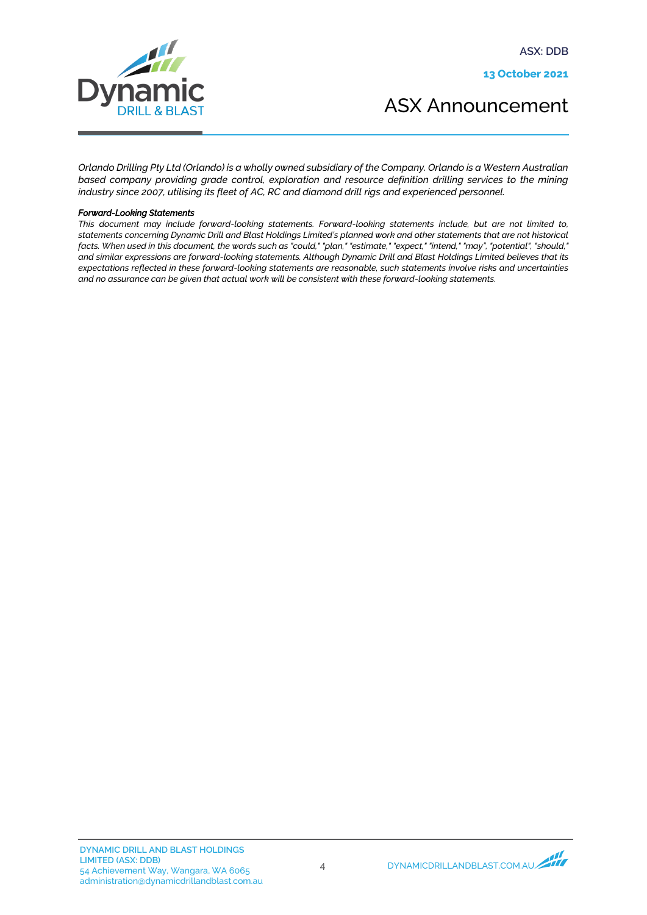ASX: DDB

13 October 2021



ASX Announcement

*Orlando Drilling Pty Ltd (Orlando) is a wholly owned subsidiary of the Company. Orlando is a Western Australian based company providing grade control, exploration and resource definition drilling services to the mining industry since 2007, utilising its fleet of AC, RC and diamond drill rigs and experienced personnel.*

#### *Forward-Looking Statements*

*This document may include forward-looking statements. Forward-looking statements include, but are not limited to, statements concerning Dynamic Drill and Blast Holdings Limited's planned work and other statements that are not historical facts. When used in this document, the words such as "could," "plan," "estimate," "expect," "intend," "may", "potential", "should," and similar expressions are forward-looking statements. Although Dynamic Drill and Blast Holdings Limited believes that its expectations reflected in these forward-looking statements are reasonable, such statements involve risks and uncertainties and no assurance can be given that actual work will be consistent with these forward-looking statements.*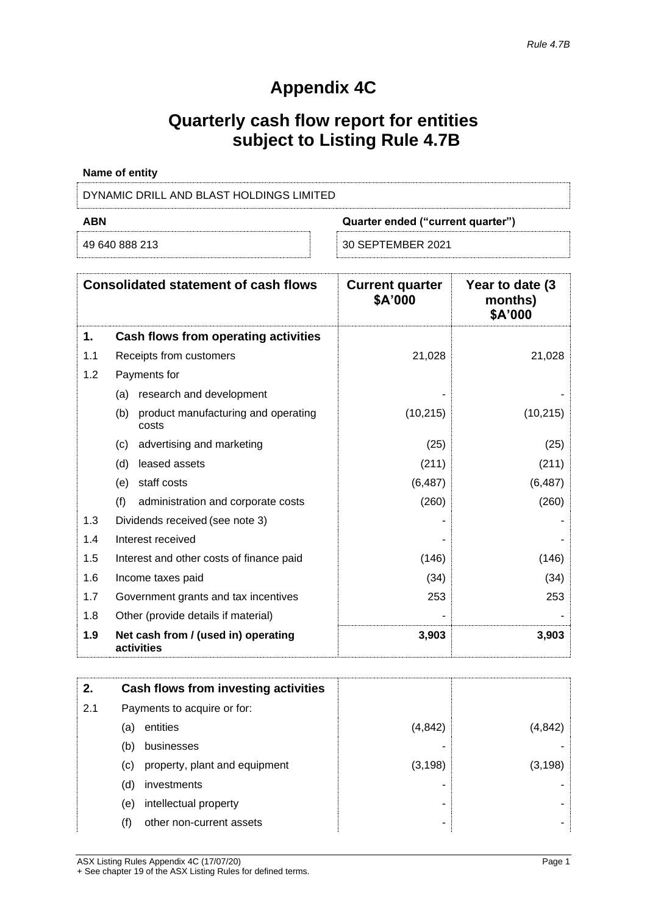# **Appendix 4C**

# **Quarterly cash flow report for entities subject to Listing Rule 4.7B**

| Name of entity                           |                                   |
|------------------------------------------|-----------------------------------|
| DYNAMIC DRILL AND BLAST HOLDINGS LIMITED |                                   |
| ABN                                      | Quarter ended ("current quarter") |

| 49 640 888 213 |  |  |
|----------------|--|--|

**ABR Example Transfer ("Current quarter")**<br>————————————————————

49 640 888 213 30 SEPTEMBER 2021

|     | <b>Consolidated statement of cash flows</b>         | <b>Current quarter</b><br>\$A'000 | Year to date (3)<br>months)<br>\$A'000 |
|-----|-----------------------------------------------------|-----------------------------------|----------------------------------------|
| 1.  | Cash flows from operating activities                |                                   |                                        |
| 1.1 | Receipts from customers                             | 21,028                            | 21,028                                 |
| 1.2 | Payments for                                        |                                   |                                        |
|     | research and development<br>(a)                     |                                   |                                        |
|     | (b)<br>product manufacturing and operating<br>costs | (10, 215)                         | (10, 215)                              |
|     | advertising and marketing<br>(c)                    | (25)                              | (25)                                   |
|     | leased assets<br>(d)                                | (211)                             | (211)                                  |
|     | staff costs<br>(e)                                  | (6, 487)                          | (6, 487)                               |
|     | (f)<br>administration and corporate costs           | (260)                             | (260)                                  |
| 1.3 | Dividends received (see note 3)                     |                                   |                                        |
| 1.4 | Interest received                                   |                                   |                                        |
| 1.5 | Interest and other costs of finance paid            | (146)                             | (146)                                  |
| 1.6 | Income taxes paid                                   | (34)                              | (34)                                   |
| 1.7 | Government grants and tax incentives                | 253                               | 253                                    |
| 1.8 | Other (provide details if material)                 |                                   |                                        |
| 1.9 | Net cash from / (used in) operating<br>activities   | 3,903                             | 3,903                                  |

| 2.  |     | Cash flows from investing activities |          |          |
|-----|-----|--------------------------------------|----------|----------|
| 2.1 |     | Payments to acquire or for:          |          |          |
|     | (a) | entities                             | (4, 842) | (4, 842) |
|     | (b) | businesses                           |          |          |
|     | (c) | property, plant and equipment        | (3, 198) | (3, 198) |
|     | (d) | investments                          |          |          |
|     | (e) | intellectual property                |          |          |
|     | (f) | other non-current assets             |          |          |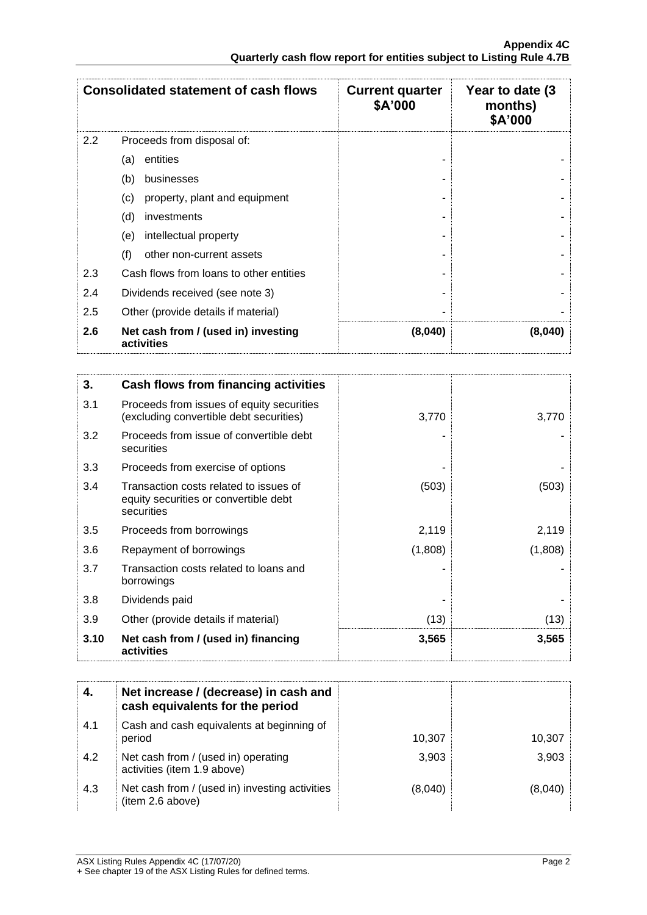|                  | <b>Consolidated statement of cash flows</b>       | <b>Current quarter</b><br>\$A'000 | Year to date (3)<br>months)<br>\$A'000 |
|------------------|---------------------------------------------------|-----------------------------------|----------------------------------------|
| $2.2\phantom{0}$ | Proceeds from disposal of:                        |                                   |                                        |
|                  | entities<br>(a)                                   |                                   |                                        |
|                  | (b)<br>businesses                                 |                                   |                                        |
|                  | property, plant and equipment<br>(c)              |                                   |                                        |
|                  | (d)<br>investments                                |                                   |                                        |
|                  | intellectual property<br>(e)                      |                                   |                                        |
|                  | (f)<br>other non-current assets                   |                                   |                                        |
| 2.3              | Cash flows from loans to other entities           |                                   |                                        |
| 2.4              | Dividends received (see note 3)                   |                                   |                                        |
| 2.5              | Other (provide details if material)               |                                   |                                        |
| 2.6              | Net cash from / (used in) investing<br>activities | (8,040)                           | (8,040)                                |

| 3.   | Cash flows from financing activities                                                          |         |         |
|------|-----------------------------------------------------------------------------------------------|---------|---------|
| 3.1  | Proceeds from issues of equity securities<br>(excluding convertible debt securities)          | 3,770   | 3,770   |
| 3.2  | Proceeds from issue of convertible debt<br>securities                                         |         |         |
| 3.3  | Proceeds from exercise of options                                                             |         |         |
| 3.4  | Transaction costs related to issues of<br>equity securities or convertible debt<br>securities | (503)   | (503)   |
| 3.5  | Proceeds from borrowings                                                                      | 2,119   | 2,119   |
| 3.6  | Repayment of borrowings                                                                       | (1,808) | (1,808) |
| 3.7  | Transaction costs related to loans and<br>borrowings                                          |         |         |
| 3.8  | Dividends paid                                                                                |         |         |
| 3.9  | Other (provide details if material)                                                           | (13)    | (13)    |
| 3.10 | Net cash from / (used in) financing<br>activities                                             | 3,565   | 3,565   |

|     | Net increase / (decrease) in cash and<br>cash equivalents for the period |         |         |
|-----|--------------------------------------------------------------------------|---------|---------|
| 4.1 | Cash and cash equivalents at beginning of<br>period                      | 10.307  | 10,307  |
| 4.2 | Net cash from / (used in) operating<br>activities (item 1.9 above)       | 3,903   | 3,903   |
| 4.3 | Net cash from / (used in) investing activities<br>(item 2.6 above)       | (8,040) | (8.040) |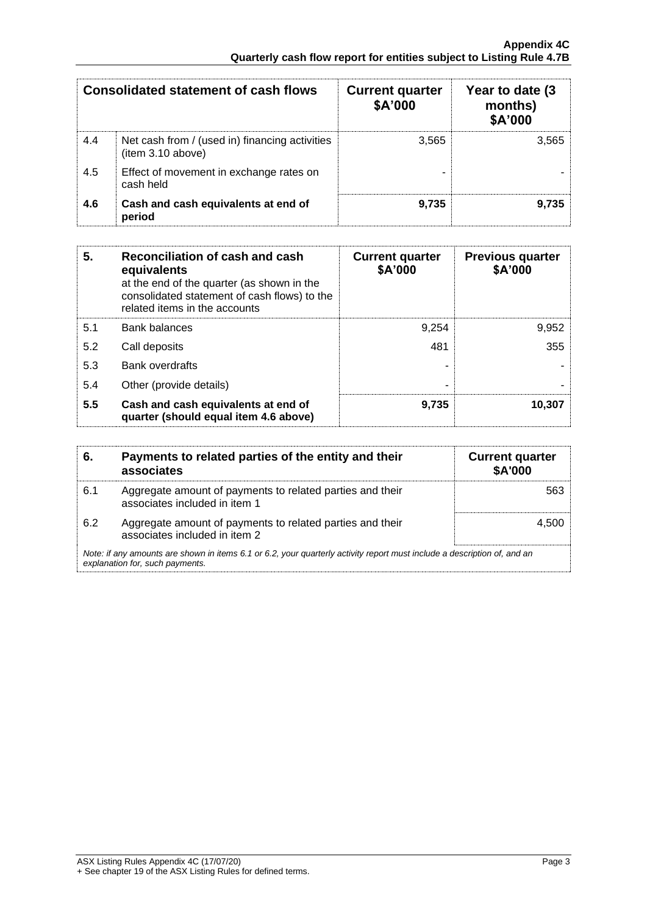|     | <b>Consolidated statement of cash flows</b>                        | <b>Current quarter</b><br>\$A'000 | Year to date (3)<br>months)<br>\$A'000 |
|-----|--------------------------------------------------------------------|-----------------------------------|----------------------------------------|
| 4.4 | Net cash from / (used in) financing activities<br>item 3.10 above) | 3,565                             | 3,565                                  |
| 4.5 | Effect of movement in exchange rates on<br>cash held               |                                   |                                        |
| 4.6 | Cash and cash equivalents at end of<br>period                      | 9,735                             | 9,735                                  |

| 5.  | Reconciliation of cash and cash<br>equivalents<br>at the end of the quarter (as shown in the<br>consolidated statement of cash flows) to the<br>related items in the accounts | <b>Current quarter</b><br>\$A'000 | <b>Previous quarter</b><br>\$A'000 |
|-----|-------------------------------------------------------------------------------------------------------------------------------------------------------------------------------|-----------------------------------|------------------------------------|
| 5.1 | Bank balances                                                                                                                                                                 | 9.254                             | 9,952                              |
| 5.2 | Call deposits                                                                                                                                                                 | 481                               | 355                                |
| 5.3 | <b>Bank overdrafts</b>                                                                                                                                                        |                                   |                                    |
| 5.4 | Other (provide details)                                                                                                                                                       | -                                 |                                    |
| 5.5 | Cash and cash equivalents at end of<br>quarter (should equal item 4.6 above)                                                                                                  | 9,735                             | 10,307                             |

| 6.  | Payments to related parties of the entity and their<br>associates                                                                                           | <b>Current quarter</b><br>\$A'000 |
|-----|-------------------------------------------------------------------------------------------------------------------------------------------------------------|-----------------------------------|
| 6.1 | Aggregate amount of payments to related parties and their<br>associates included in item 1                                                                  | 563                               |
| 6.2 | Aggregate amount of payments to related parties and their<br>associates included in item 2                                                                  | 4.50C                             |
|     | Note: if any amounts are shown in items 6.1 or 6.2, your quarterly activity report must include a description of, and an<br>explanation for, such payments. |                                   |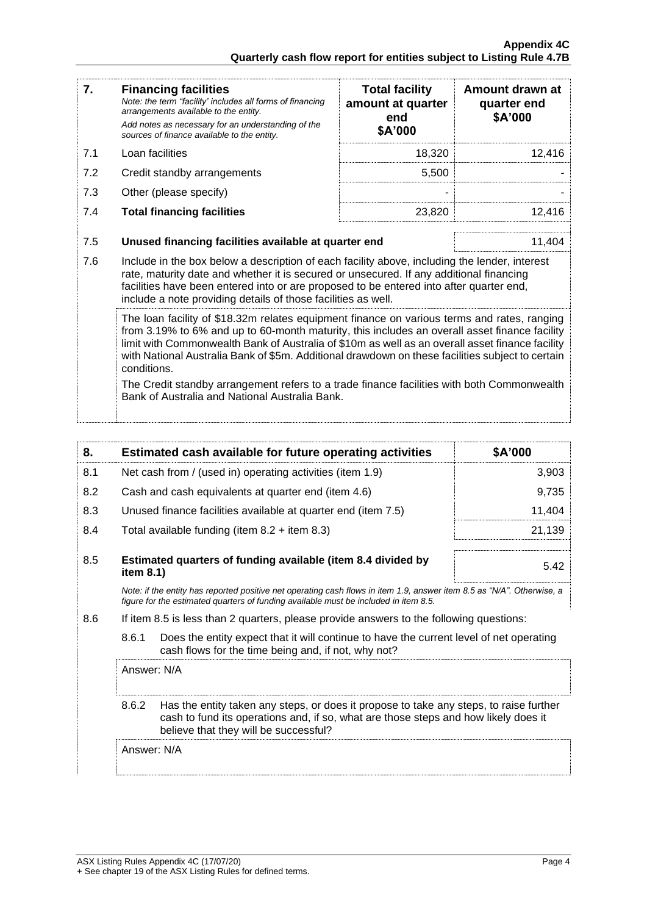| 7.  | <b>Financing facilities</b><br>Note: the term "facility' includes all forms of financing<br>arrangements available to the entity.<br>Add notes as necessary for an understanding of the<br>sources of finance available to the entity.                                                                                                                                                                             | <b>Total facility</b><br>amount at quarter<br>end<br>\$A'000 | Amount drawn at<br>quarter end<br>\$A'000 |  |
|-----|--------------------------------------------------------------------------------------------------------------------------------------------------------------------------------------------------------------------------------------------------------------------------------------------------------------------------------------------------------------------------------------------------------------------|--------------------------------------------------------------|-------------------------------------------|--|
| 7.1 | Loan facilities                                                                                                                                                                                                                                                                                                                                                                                                    | 18,320                                                       | 12,416                                    |  |
| 7.2 | Credit standby arrangements                                                                                                                                                                                                                                                                                                                                                                                        | 5,500                                                        |                                           |  |
| 7.3 | Other (please specify)                                                                                                                                                                                                                                                                                                                                                                                             |                                                              |                                           |  |
| 7.4 | <b>Total financing facilities</b>                                                                                                                                                                                                                                                                                                                                                                                  | 23,820                                                       | 12,416                                    |  |
| 7.5 | Unused financing facilities available at quarter end                                                                                                                                                                                                                                                                                                                                                               |                                                              | 11,404                                    |  |
| 7.6 | Include in the box below a description of each facility above, including the lender, interest<br>rate, maturity date and whether it is secured or unsecured. If any additional financing<br>facilities have been entered into or are proposed to be entered into after quarter end,<br>include a note providing details of those facilities as well.                                                               |                                                              |                                           |  |
|     | The loan facility of \$18.32m relates equipment finance on various terms and rates, ranging<br>from 3.19% to 6% and up to 60-month maturity, this includes an overall asset finance facility<br>limit with Commonwealth Bank of Australia of \$10m as well as an overall asset finance facility<br>with National Australia Bank of \$5m. Additional drawdown on these facilities subject to certain<br>conditions. |                                                              |                                           |  |
|     | The Credit standby arrangement refers to a trade finance facilities with both Commonwealth<br>Bank of Australia and National Australia Bank.                                                                                                                                                                                                                                                                       |                                                              |                                           |  |

| 8.  |                                                                                                                                                                                                                                 | Estimated cash available for future operating activities                | \$A'000 |
|-----|---------------------------------------------------------------------------------------------------------------------------------------------------------------------------------------------------------------------------------|-------------------------------------------------------------------------|---------|
| 8.1 |                                                                                                                                                                                                                                 | Net cash from / (used in) operating activities (item 1.9)               | 3,903   |
| 8.2 | Cash and cash equivalents at quarter end (item 4.6)                                                                                                                                                                             |                                                                         | 9,735   |
| 8.3 |                                                                                                                                                                                                                                 | Unused finance facilities available at quarter end (item 7.5)<br>11,404 |         |
| 8.4 |                                                                                                                                                                                                                                 | Total available funding (item $8.2 +$ item $8.3$ )                      | 21,139  |
| 8.5 | item $8.1$ )                                                                                                                                                                                                                    | Estimated quarters of funding available (item 8.4 divided by            | 5.42    |
|     | Note: if the entity has reported positive net operating cash flows in item 1.9, answer item 8.5 as "N/A". Otherwise, a<br>figure for the estimated quarters of funding available must be included in item 8.5.                  |                                                                         |         |
| 8.6 | If item 8.5 is less than 2 quarters, please provide answers to the following questions:                                                                                                                                         |                                                                         |         |
|     | 8.6.1<br>Does the entity expect that it will continue to have the current level of net operating<br>cash flows for the time being and, if not, why not?                                                                         |                                                                         |         |
|     | Answer: N/A                                                                                                                                                                                                                     |                                                                         |         |
|     | 8.6.2<br>Has the entity taken any steps, or does it propose to take any steps, to raise further<br>cash to fund its operations and, if so, what are those steps and how likely does it<br>believe that they will be successful? |                                                                         |         |
|     | Answer: N/A                                                                                                                                                                                                                     |                                                                         |         |
|     |                                                                                                                                                                                                                                 |                                                                         |         |